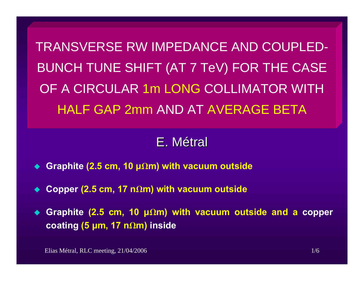TRANSVERSE RW IMPEDANCE AND COUPLED-BUNCH TUNE SHIFT (AT 7 TeV) FOR THE CASE OF A CIRCULAR 1m LONG COLLIMATOR WITH HALF GAP 2mm AND AT AVERAGE BETA

# E.Métral

- ◆ Graphite (2.5 cm, 10 μΩm) with vacuum outside
- ◆ Copper (2.5 cm, 17 nΩm) with vacuum outside

 **Graphite (2.5 cm, 10 μ Wm) with vacuum outside and a copper coating (5 μm, 17 n Wm) inside**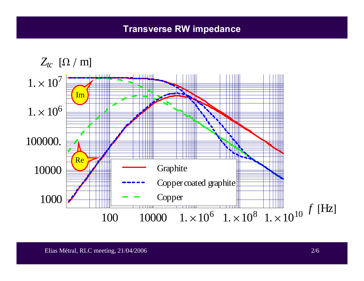#### **Transverse RW impedance**

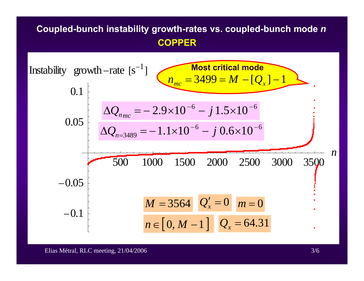#### **Coupled-bunch instability growth-rates vs. coupled-bunch mode**  *n* **COPPER**

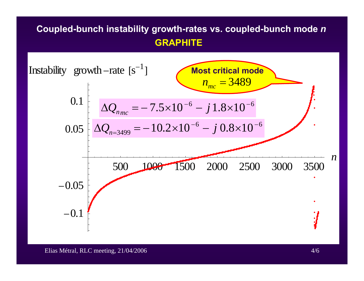### **Coupled-bunch instability growth-rates vs. coupled-bunch mode**  *n* **GRAPHITE**



Elias Métral, RLC meeting, 21/04/2006 4/6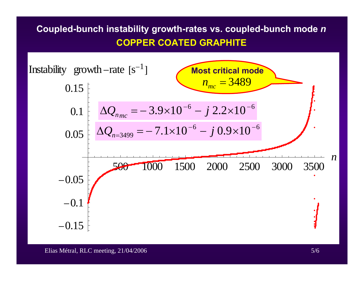## **Coupled-bunch instability growth-rates vs. coupled-bunch mode**  *n* **COPPER COATED GRAPHITE**



Elias Métral, RLC meeting, 21/04/2006 5/6